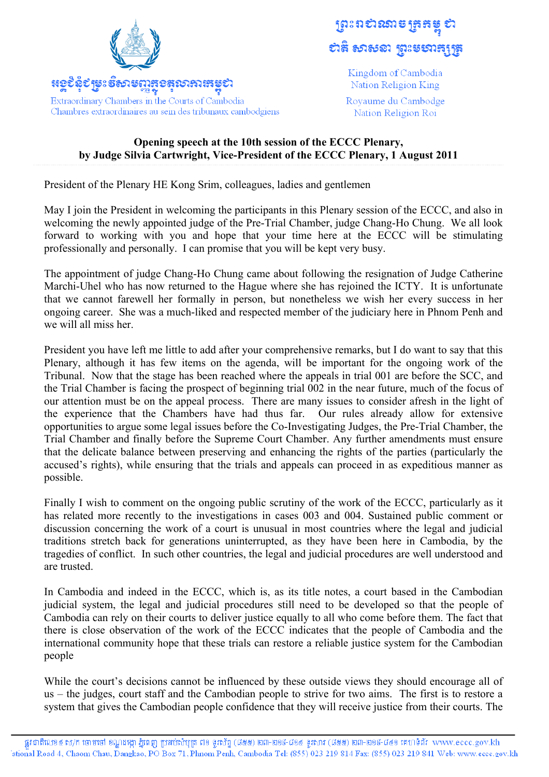

<u> ಚಲಲಿನಲ್ ಕಾಲ ಕ್ಷತಿಯ ಸಂಪ್ರದಾ</u> ಅಣೆಣುಚು

Extraordinary Chambers in the Courts of Cambodia Chambres extraordinaires au sein des tribunaux cambodgiens

## ត្រុះពសាលាមច្រកម្ពុ **បាន សាសនា ព្រះម**សាត្យត្រូ

Kingdom of Cambodia Nation Religion King

Rovaume du Cambodge Nation Religion Roi

## **Opening speech at the 10th session of the ECCC Plenary, by Judge Silvia Cartwright, Vice-President of the ECCC Plenary, 1 August 2011**

President of the Plenary HE Kong Srim, colleagues, ladies and gentlemen

May I join the President in welcoming the participants in this Plenary session of the ECCC, and also in welcoming the newly appointed judge of the Pre-Trial Chamber, judge Chang-Ho Chung. We all look forward to working with you and hope that your time here at the ECCC will be stimulating professionally and personally. I can promise that you will be kept very busy.

The appointment of judge Chang-Ho Chung came about following the resignation of Judge Catherine Marchi-Uhel who has now returned to the Hague where she has rejoined the ICTY. It is unfortunate that we cannot farewell her formally in person, but nonetheless we wish her every success in her ongoing career. She was a much-liked and respected member of the judiciary here in Phnom Penh and we will all miss her.

President you have left me little to add after your comprehensive remarks, but I do want to say that this Plenary, although it has few items on the agenda, will be important for the ongoing work of the Tribunal. Now that the stage has been reached where the appeals in trial 001 are before the SCC, and the Trial Chamber is facing the prospect of beginning trial 002 in the near future, much of the focus of our attention must be on the appeal process. There are many issues to consider afresh in the light of the experience that the Chambers have had thus far. Our rules already allow for extensive opportunities to argue some legal issues before the Co-Investigating Judges, the Pre-Trial Chamber, the Trial Chamber and finally before the Supreme Court Chamber. Any further amendments must ensure that the delicate balance between preserving and enhancing the rights of the parties (particularly the accused's rights), while ensuring that the trials and appeals can proceed in as expeditious manner as possible.

Finally I wish to comment on the ongoing public scrutiny of the work of the ECCC, particularly as it has related more recently to the investigations in cases 003 and 004. Sustained public comment or discussion concerning the work of a court is unusual in most countries where the legal and judicial traditions stretch back for generations uninterrupted, as they have been here in Cambodia, by the tragedies of conflict. In such other countries, the legal and judicial procedures are well understood and are trusted.

In Cambodia and indeed in the ECCC, which is, as its title notes, a court based in the Cambodian judicial system, the legal and judicial procedures still need to be developed so that the people of Cambodia can rely on their courts to deliver justice equally to all who come before them. The fact that there is close observation of the work of the ECCC indicates that the people of Cambodia and the international community hope that these trials can restore a reliable justice system for the Cambodian people

While the court's decisions cannot be influenced by these outside views they should encourage all of us – the judges, court staff and the Cambodian people to strive for two aims. The first is to restore a system that gives the Cambodian people confidence that they will receive justice from their courts. The